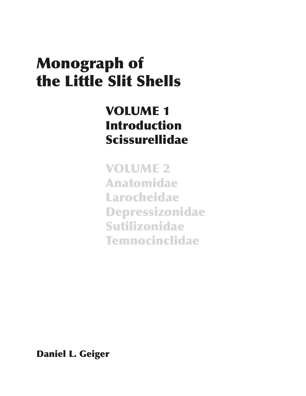# Monograph of the Little Slit Shells

# VOLUME 1 Introduction Scissurellidae

VOLUME 2 Anatomidae Larocheidae Depressizonidae Sutilizonidae Temnocinclidae

Daniel L. Geiger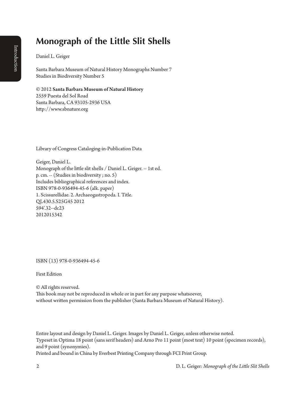# Introduction Introduction

# **Monograph of the Little Slit Shells**

Daniel L. Geiger

Santa Barbara Museum of Natural History Monographs Number 7 Studies in Biodiversity Number 5

#### © 2012 Santa Barbara Museum of Natural History 2559 Puesta del Sol Road

Santa Barbara, CA 93105-2936 USA http://www.sbnature.org

Library of Congress Cataloging-in-Publication Data

Geiger, Daniel L. Monograph of the little slit shells / Daniel L. Geiger. -- 1st ed. p. cm. -- (Studies in biodiversity ; no. 5) Includes bibliographical references and index. ISBN 978-0-936494-45-6 (alk. paper) 1. Scissurellidae. 2. Archaeogastropoda. I. Title. QL430.5.S25G45 2012 594'.32--dc23 2012015342

ISBN (13) 978-0-936494-45-6

First Edition

© All rights reserved.

This book may not be reproduced in whole or in part for any purpose whatsoever, without written permission from the publisher (Santa Barbara Museum of Natural History).

Entire layout and design by Daniel L. Geiger. Images by Daniel L. Geiger, unless otherwise noted. Typeset in Optima 18 point (sans serif headers) and Arno Pro 11 point (most text) 10 point (specimen records), and 9 point (synonymies).

Printed and bound in China by Everbest Printing Company through FCI Print Group.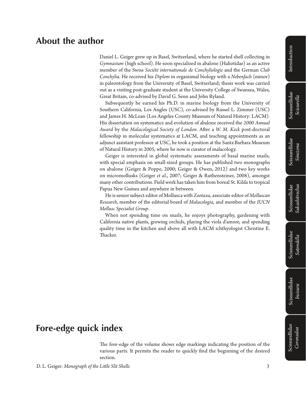#### Scissurellidae Scissurellidae *Incisura*

### **About the author**

Daniel L. Geiger grew up in Basel, Switzerland, where he started shell collecting in *Gymnasium* (high school). He soon specialized in abalone (Haliotidae) as an active member of the Swiss *Société internationale de Conchyliologie* and the German *Club Conchylia*. He received his *Diplom* in organismal biology with a *Nebenfach* (minor) in paleontology from the University of Basel, Switzerland; thesis work was carried out as a visiting post-graduate student at the University College of Swansea, Wales, Great Britain, co-advised by David G. Senn and John Ryland.

Subsequently he earned his Ph.D. in marine biology from the University of Southern California, Los Angles (USC), co-advised by Russel L. Zimmer (USC) and James H. McLean (Los Angeles County Museum of Natural History: LACM). His dissertation on systematics and evolution of abalone received the *2000 Annual Award* by the *Malacological Society of London*. After a *W. M. Keck* post-doctoral fellowship in molecular systematics at LACM, and teaching appointments as an adjunct assistant professor at USC, he took a position at the Santa Barbara Museum of Natural History in 2005, where he now is curator of malacology.

Geiger is interested in global systematic assessments of basal marine snails, with special emphasis on small-sized groups. He has published two monographs on abalone (Geiger & Poppe, 2000; Geiger & Owen, 2012) and two key works on micromollusks (Geiger *et al*., 2007; Geiger & Ruthensteiner, 2008), amongst many other contributions. Field work has taken him from boreal St. Kilda to tropical Papua New Guinea and anywhere in between.

He is senior subject editor of Mollusca with *Zootaxa*, associate editor of *Molluscan Research*, member of the editorial board of *Malacologia*, and member of the *IUCN Mollusc Specialist Group*.

When not spending time on snails, he enjoys photography, gardening with California native plants, growing orchids, playing the viola d'amore, and spending quality time in the kitchen and above all with LACM ichthyologist Christine E. Thacker.

## **Fore-edge quick index**

The fore-edge of the volume shows edge markings indicating the position of the various parts. It permits the reader to quickly find the beginning of the desired section.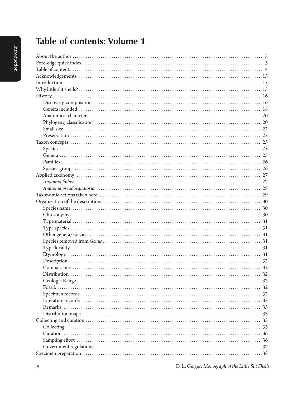## **Table of contents: Volume 1**

4 D. L. Geiger: *Monograph of the Little Slit Shells*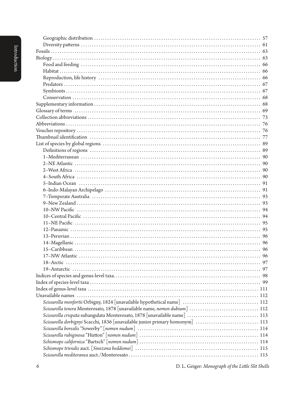| Scissurella dorbignyi Scacchi, 1836 [unavailable junior primary homonym]  113 |  |
|-------------------------------------------------------------------------------|--|
|                                                                               |  |
|                                                                               |  |
|                                                                               |  |
|                                                                               |  |
|                                                                               |  |
|                                                                               |  |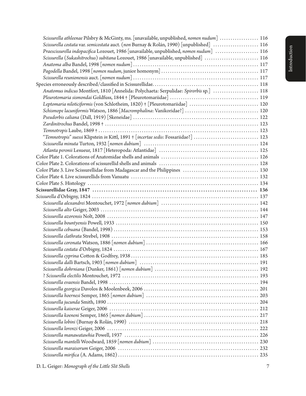| Scissurella athleenae Pilsbry & McGinty, ms. [unavailable, unpublished, nomen nudum]  116 |  |
|-------------------------------------------------------------------------------------------|--|
| Scissurella costata var. semicostata auct. (non Burnay & Rolán, 1990) [unpublished]  116  |  |
| Praescissurella indopacifica Lozouet, 1986 [unavailable, unpublished, nomen nudum]  116   |  |
| Scissurella (Sukashitrochus) subitana Lozouet, 1986 [unavailable, unpublished]  116       |  |
|                                                                                           |  |
|                                                                                           |  |
|                                                                                           |  |
|                                                                                           |  |
| Anatomus indicus Montfort, 1810 [Annelida: Polychaeta: Serpulidae: Spirorbis sp.]  118    |  |
|                                                                                           |  |
| Leptomaria niloticiformis (von Schlotheim, 1820) + [Pleurotomariidae]  120                |  |
| Schismope lacuniformis Watson, 1886 [Macromphalina: Vanikoridae?]  120                    |  |
|                                                                                           |  |
|                                                                                           |  |
|                                                                                           |  |
| "Temnotropis" suessi Klipstein in Kittl, 1891 + [incertae sedis: Fossariidae?]  123       |  |
|                                                                                           |  |
|                                                                                           |  |
|                                                                                           |  |
|                                                                                           |  |
|                                                                                           |  |
|                                                                                           |  |
|                                                                                           |  |
|                                                                                           |  |
|                                                                                           |  |
|                                                                                           |  |
|                                                                                           |  |
|                                                                                           |  |
|                                                                                           |  |
|                                                                                           |  |
|                                                                                           |  |
|                                                                                           |  |
|                                                                                           |  |
|                                                                                           |  |
|                                                                                           |  |
|                                                                                           |  |
|                                                                                           |  |
|                                                                                           |  |
|                                                                                           |  |
|                                                                                           |  |
|                                                                                           |  |
|                                                                                           |  |
|                                                                                           |  |
|                                                                                           |  |
|                                                                                           |  |
|                                                                                           |  |
|                                                                                           |  |
|                                                                                           |  |
|                                                                                           |  |
|                                                                                           |  |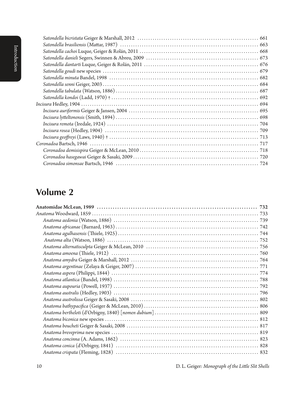| htroduction |  |
|-------------|--|
|             |  |

### **Volume 2**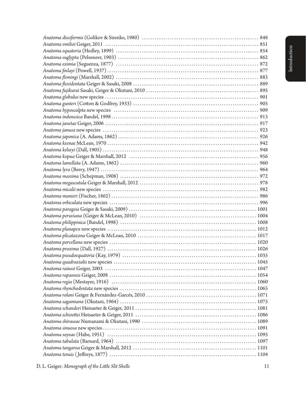*Anatoma tenuis* ( Jeffreys, 1877) . 1104